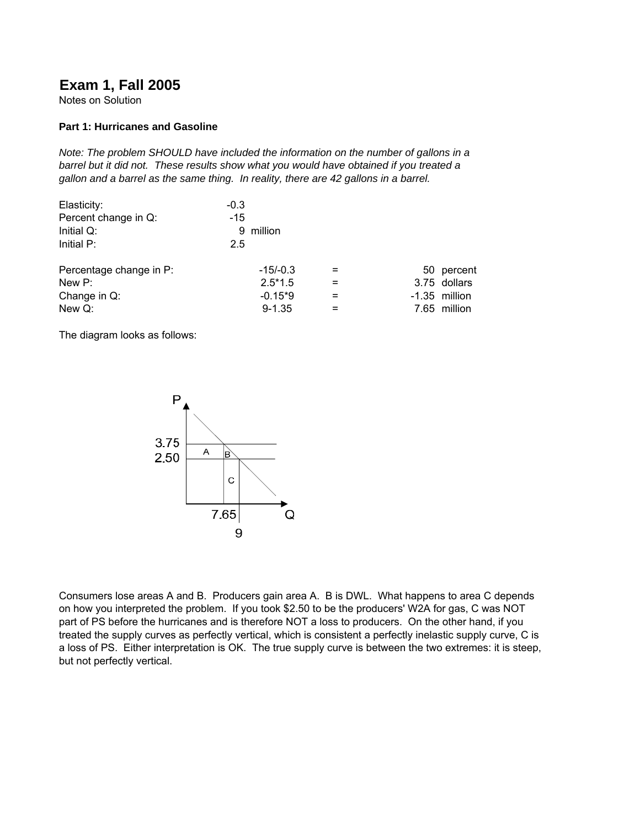# **Exam 1, Fall 2005**

Notes on Solution

### **Part 1: Hurricanes and Gasoline**

*Note: The problem SHOULD have included the information on the number of gallons in a barrel but it did not. These results show what you would have obtained if you treated a gallon and a barrel as the same thing. In reality, there are 42 gallons in a barrel.*

| Elasticity:             | $-0.3$       |     |                 |
|-------------------------|--------------|-----|-----------------|
| Percent change in Q:    | $-15$        |     |                 |
| Initial Q:              | million<br>9 |     |                 |
| Initial P:              | 2.5          |     |                 |
| Percentage change in P: | $-15/-0.3$   | $=$ | 50 percent      |
| New P:                  | $2.5*1.5$    | $=$ | 3.75 dollars    |
| Change in Q:            | $-0.15*9$    |     | $-1.35$ million |
| New Q:                  | $9 - 1.35$   |     | 7.65 million    |

The diagram looks as follows:



Consumers lose areas A and B. Producers gain area A. B is DWL. What happens to area C depends on how you interpreted the problem. If you took \$2.50 to be the producers' W2A for gas, C was NOT part of PS before the hurricanes and is therefore NOT a loss to producers. On the other hand, if you treated the supply curves as perfectly vertical, which is consistent a perfectly inelastic supply curve, C is a loss of PS. Either interpretation is OK. The true supply curve is between the two extremes: it is steep, but not perfectly vertical.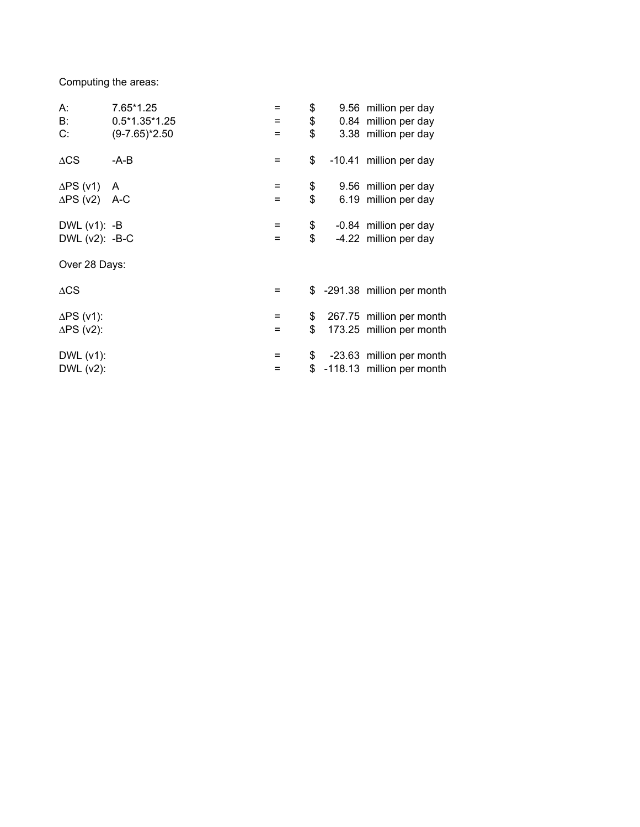Computing the areas:

| А:                  | 7.65*1.25        | $=$      | \$ | 9.56 million per day        |
|---------------------|------------------|----------|----|-----------------------------|
| <b>B:</b>           | $0.5*1.35*1.25$  | $=$      | \$ | 0.84 million per day        |
| $C$ :               | $(9-7.65)^*2.50$ | $=$      | \$ | 3.38 million per day        |
| $\triangle$ CS      | $-A-B$           | $\equiv$ | \$ | -10.41 million per day      |
| $\Delta PS$ (v1)    | A                | $\equiv$ | \$ | 9.56 million per day        |
| $\triangle PS$ (v2) | A-C              | Ξ        | \$ | 6.19 million per day        |
| DWL $(v1)$ : -B     |                  | $=$      | \$ | -0.84 million per day       |
| DWL (v2): -B-C      |                  | $\equiv$ | \$ | -4.22 million per day       |
| Over 28 Days:       |                  |          |    |                             |
| $\triangle$ CS      |                  | $=$      |    | \$-291.38 million per month |
| $\Delta PS (v1)$ :  |                  | $=$      | \$ | 267.75 million per month    |
| $\Delta PS (v2)$ :  |                  | $=$      | \$ | 173.25 million per month    |
| DWL $(v1)$ :        |                  | $=$      | \$ | -23.63 million per month    |
| DWL (v2):           |                  | Ξ        | \$ | -118.13 million per month   |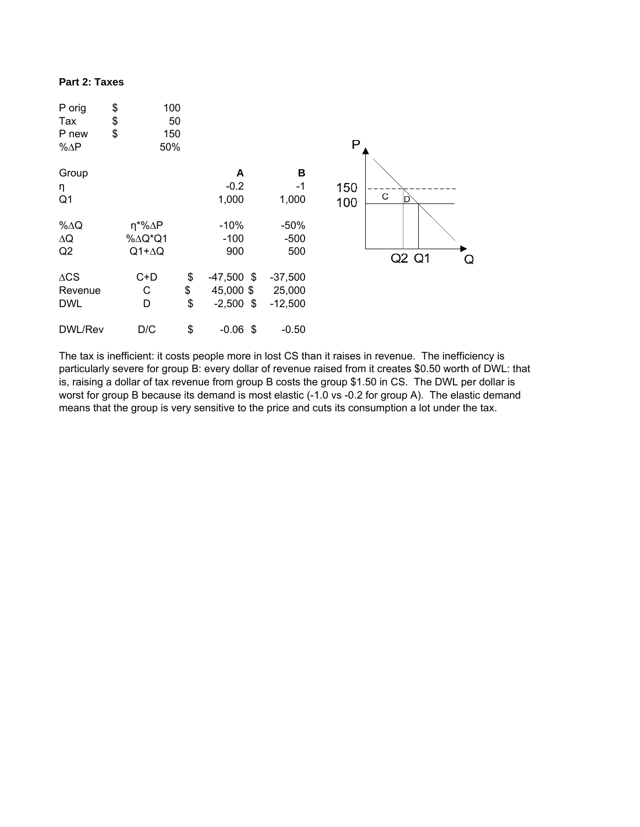## **Part 2: Taxes**

| P orig<br>Tax<br>P new<br>$% \triangle P$  | \$<br>\$<br>\$ |                                    | 100<br>50<br>150<br>50% |                                          |                                  | Ρ          |            |
|--------------------------------------------|----------------|------------------------------------|-------------------------|------------------------------------------|----------------------------------|------------|------------|
| Group<br>η<br>Q <sub>1</sub>               |                |                                    |                         | A<br>$-0.2$<br>1,000                     | в<br>$-1$<br>1,000               | 150<br>100 | C<br>ID    |
| % $\Delta Q$<br>$\Delta\mathsf{Q}$<br>Q2   |                | η*%ΔP<br>%∆Q*Q1<br>$Q1 + \Delta Q$ |                         | $-10%$<br>$-100$<br>900                  | $-50%$<br>$-500$<br>500          |            | Q2 Q1<br>Q |
| $\Delta\text{CS}$<br>Revenue<br><b>DWL</b> |                | $C+D$<br>С<br>D                    | \$<br>\$<br>\$          | $-47,500$ \$<br>45,000 \$<br>$-2,500$ \$ | $-37,500$<br>25,000<br>$-12,500$ |            |            |
| DWL/Rev                                    |                | D/C                                | \$                      | $-0.06$ \$                               | $-0.50$                          |            |            |

The tax is inefficient: it costs people more in lost CS than it raises in revenue. The inefficiency is particularly severe for group B: every dollar of revenue raised from it creates \$0.50 worth of DWL: that is, raising a dollar of tax revenue from group B costs the group \$1.50 in CS. The DWL per dollar is worst for group B because its demand is most elastic (-1.0 vs -0.2 for group A). The elastic demand means that the group is very sensitive to the price and cuts its consumption a lot under the tax.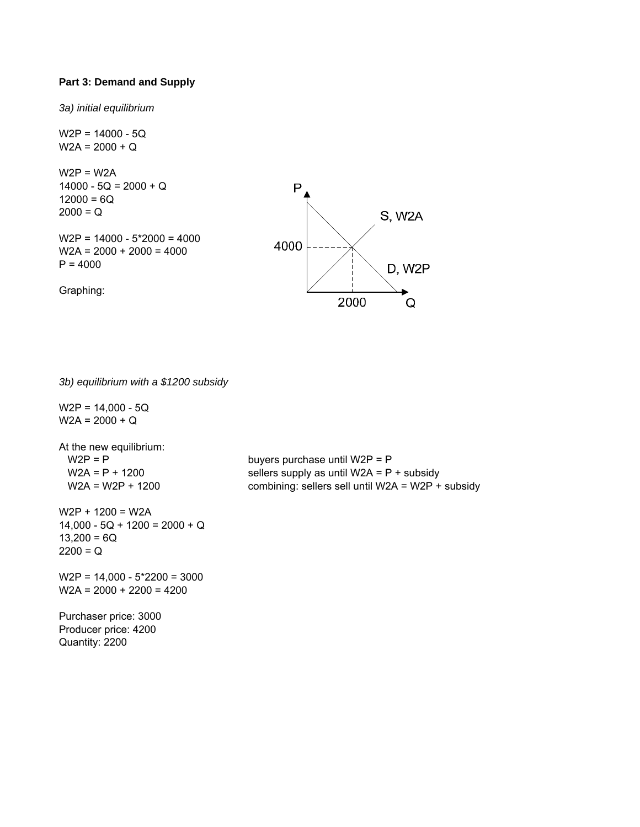#### **Part 3: Demand and Supply**

*3a) initial equilibrium*  $W2P = 14000 - 5Q$  $W2A = 2000 + Q$  $W2P = W2A$  $14000 - 5Q = 2000 + Q$  $12000 = 6Q$  $2000 = Q$  $W2P = 14000 - 5*2000 = 4000$  $W2A = 2000 + 2000 = 4000$  $P = 4000$ 



Graphing:

*3b) equilibrium with a \$1200 subsidy*

 $W2P = 14,000 - 5Q$  $W2A = 2000 + Q$ 

At the new equilibrium:

W2P + 1200 = W2A 14,000 - 5Q + 1200 = 2000 + Q  $13,200 = 6Q$  $2200 = Q$ 

 $W2P = 14,000 - 5*2200 = 3000$  $W2A = 2000 + 2200 = 4200$ 

Purchaser price: 3000 Producer price: 4200 Quantity: 2200

 $W2P = P$  buyers purchase until W2P = P  $W2A = P + 1200$  sellers supply as until W2A = P + subsidy W2A = W2P + 1200 combining: sellers sell until W2A = W2P + subsidy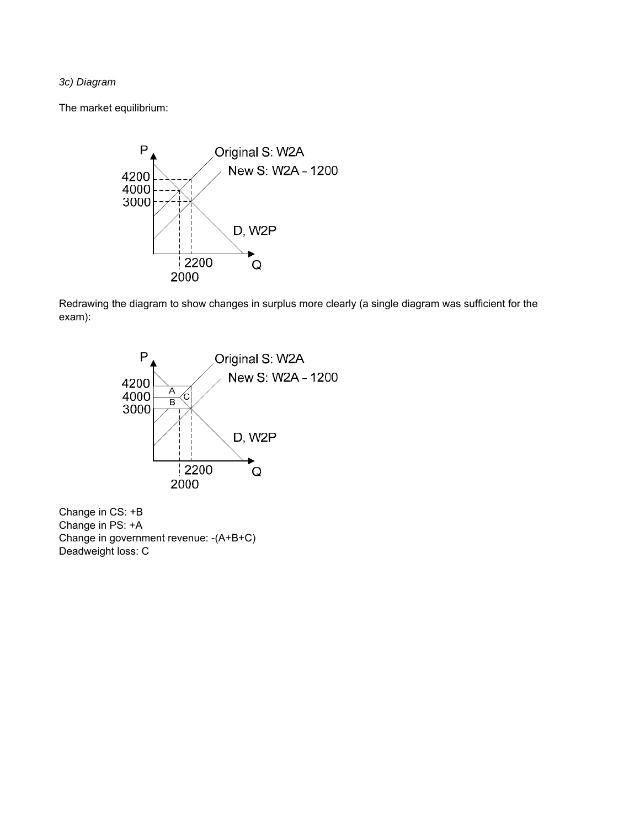## *3c) Diagram*

The market equilibrium:



Redrawing the diagram to show changes in surplus more clearly (a single diagram was sufficient for the exam):



Change in CS: +B Change in PS: +A Change in government revenue: -(A+B+C) Deadweight loss: C